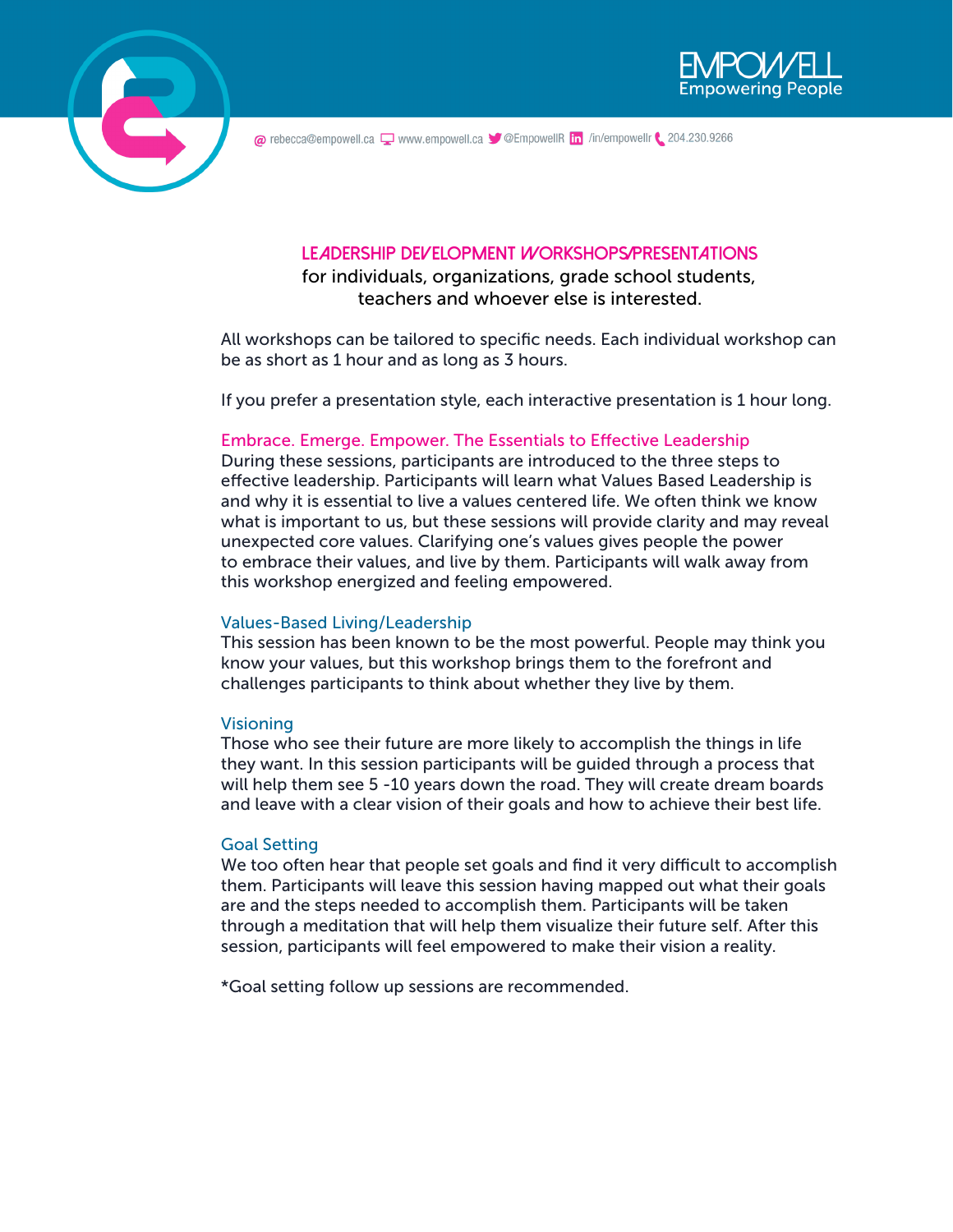



@ rebecca@empowell.ca Q www.empowell.ca V @EmpowellR in /in/empowellr \ 204.230.9266

# **Leadership Development Workshops/Presentations**

for individuals, organizations, grade school students, teachers and whoever else is interested.

All workshops can be tailored to specific needs. Each individual workshop can be as short as 1 hour and as long as 3 hours.

If you prefer a presentation style, each interactive presentation is 1 hour long.

### Embrace. Emerge. Empower. The Essentials to Effective Leadership

During these sessions, participants are introduced to the three steps to effective leadership. Participants will learn what Values Based Leadership is and why it is essential to live a values centered life. We often think we know what is important to us, but these sessions will provide clarity and may reveal unexpected core values. Clarifying one's values gives people the power to embrace their values, and live by them. Participants will walk away from this workshop energized and feeling empowered.

### Values-Based Living/Leadership

This session has been known to be the most powerful. People may think you know your values, but this workshop brings them to the forefront and challenges participants to think about whether they live by them.

### Visioning

Those who see their future are more likely to accomplish the things in life they want. In this session participants will be guided through a process that will help them see 5 -10 years down the road. They will create dream boards and leave with a clear vision of their goals and how to achieve their best life.

### Goal Setting

We too often hear that people set goals and find it very difficult to accomplish them. Participants will leave this session having mapped out what their goals are and the steps needed to accomplish them. Participants will be taken through a meditation that will help them visualize their future self. After this session, participants will feel empowered to make their vision a reality.

\*Goal setting follow up sessions are recommended.